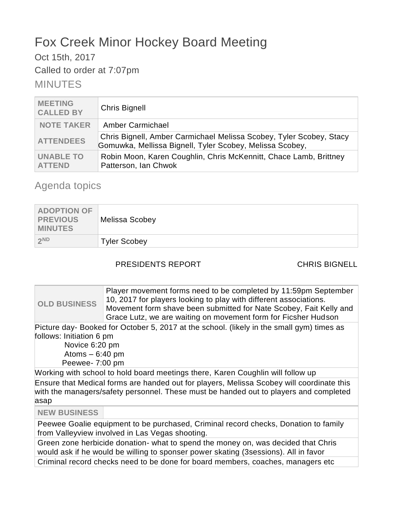# Fox Creek Minor Hockey Board Meeting

Oct 15th, 2017

Called to order at 7:07pm

MINUTES

| <b>MEETING</b><br><b>CALLED BY</b> | <b>Chris Bignell</b>                                                                                                            |
|------------------------------------|---------------------------------------------------------------------------------------------------------------------------------|
| <b>NOTE TAKER</b>                  | Amber Carmichael                                                                                                                |
| <b>ATTENDEES</b>                   | Chris Bignell, Amber Carmichael Melissa Scobey, Tyler Scobey, Stacy<br>Gomuwka, Mellissa Bignell, Tyler Scobey, Melissa Scobey, |
| <b>UNABLE TO</b><br><b>ATTEND</b>  | Robin Moon, Karen Coughlin, Chris McKennitt, Chace Lamb, Brittney<br>Patterson, Ian Chwok                                       |

## Agenda topics

| <b>ADOPTION OF</b><br><b>PREVIOUS</b><br><b>MINUTES</b> | <b>Melissa Scobey</b> |
|---------------------------------------------------------|-----------------------|
| 2ND                                                     | <b>Tyler Scobey</b>   |

### PRESIDENTS REPORT CHRIS BIGNELL

**OLD BUSINESS** Player movement forms need to be completed by 11:59pm September 10, 2017 for players looking to play with different associations. Movement form shave been submitted for Nate Scobey, Fait Kelly and Grace Lutz, we are waiting on movement form for Ficsher Hudson

Picture day- Booked for October 5, 2017 at the school. (likely in the small gym) times as follows: Initiation 6 pm

 Novice 6:20 pm Atoms  $-6:40$  pm Peewee- 7:00 pm

Working with school to hold board meetings there, Karen Coughlin will follow up

Ensure that Medical forms are handed out for players, Melissa Scobey will coordinate this with the managers/safety personnel. These must be handed out to players and completed asap

**NEW BUSINESS**

Peewee Goalie equipment to be purchased, Criminal record checks, Donation to family from Valleyview involved in Las Vegas shooting.

Green zone herbicide donation- what to spend the money on, was decided that Chris would ask if he would be willing to sponser power skating (3sessions). All in favor

Criminal record checks need to be done for board members, coaches, managers etc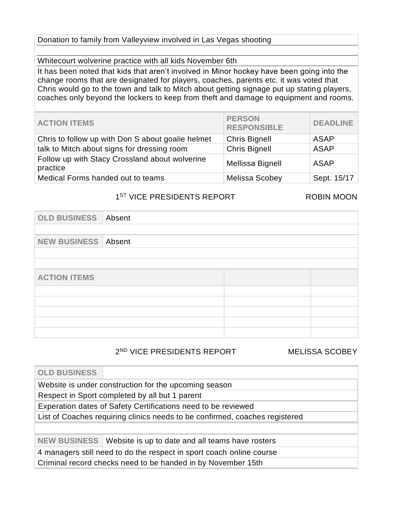### Donation to family from Valleyview involved in Las Vegas shooting

Whitecourt wolverine practice with all kids November 6th

It has been noted that kids that aren't involved in Minor hockey have been going into the change rooms that are designated for players, coaches, parents etc. it was voted that Chris would go to the town and talk to Mitch about getting signage put up stating players, coaches only beyond the lockers to keep from theft and damage to equipment and rooms.

| <b>ACTION ITEMS</b>                                        | <b>PERSON</b><br><b>RESPONSIBLE</b> | <b>DEADLINE</b> |
|------------------------------------------------------------|-------------------------------------|-----------------|
| Chris to follow up with Don S about goalie helmet          | <b>Chris Bignell</b>                | <b>ASAP</b>     |
| talk to Mitch about signs for dressing room                | <b>Chris Bignell</b>                | <b>ASAP</b>     |
| Follow up with Stacy Crossland about wolverine<br>practice | Mellissa Bignell                    | ASAP            |
| Medical Forms handed out to teams                          | Melissa Scobey                      | Sept. 15/17     |

### 1<sup>ST</sup> VICE PRESIDENTS REPORT ROBIN MOON

| <b>OLD BUSINESS</b>        | Absent |  |  |
|----------------------------|--------|--|--|
|                            |        |  |  |
| <b>NEW BUSINESS Absent</b> |        |  |  |
|                            |        |  |  |
|                            |        |  |  |
| <b>ACTION ITEMS</b>        |        |  |  |
|                            |        |  |  |
|                            |        |  |  |
|                            |        |  |  |
|                            |        |  |  |
|                            |        |  |  |

2 ND VICE PRESIDENTS REPORT MELISSA SCOBEY

| <b>OLD BUSINESS</b>                                                         |                                                               |  |  |
|-----------------------------------------------------------------------------|---------------------------------------------------------------|--|--|
|                                                                             | Website is under construction for the upcoming season         |  |  |
|                                                                             | Respect in Sport completed by all but 1 parent                |  |  |
|                                                                             | Experation dates of Safety Certifications need to be reviewed |  |  |
| List of Coaches requiring clinics needs to be confirmed, coaches registered |                                                               |  |  |
|                                                                             |                                                               |  |  |
| <b>NEW BUSINESS</b>                                                         | Website is up to date and all teams have rosters              |  |  |
| 4 managers still need to do the respect in sport coach online course        |                                                               |  |  |
|                                                                             | Criminal record checks need to be handed in by November 15th  |  |  |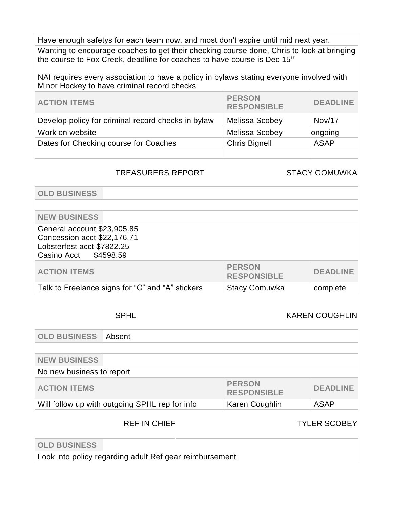Have enough safetys for each team now, and most don't expire until mid next year.

Wanting to encourage coaches to get their checking course done, Chris to look at bringing the course to Fox Creek, deadline for coaches to have course is Dec 15<sup>th</sup>

NAI requires every association to have a policy in bylaws stating everyone involved with Minor Hockey to have criminal record checks

| <b>ACTION ITEMS</b>                                | <b>PERSON</b><br><b>RESPONSIBLE</b> | <b>DEADLINE</b> |
|----------------------------------------------------|-------------------------------------|-----------------|
| Develop policy for criminal record checks in bylaw | <b>Melissa Scobey</b>               | Nov/17          |
| Work on website                                    | <b>Melissa Scobey</b>               | ongoing         |
| Dates for Checking course for Coaches              | <b>Chris Bignell</b>                | <b>ASAP</b>     |
|                                                    |                                     |                 |

### TREASURERS REPORT STACY GOMUWKA

| <b>OLD BUSINESS</b>                                                                                               |                                     |                 |
|-------------------------------------------------------------------------------------------------------------------|-------------------------------------|-----------------|
| <b>NEW BUSINESS</b>                                                                                               |                                     |                 |
| General account \$23,905.85<br>Concession acct \$22,176.71<br>Lobsterfest acct \$7822.25<br>Casino Acct \$4598.59 |                                     |                 |
| <b>ACTION ITEMS</b>                                                                                               | <b>PERSON</b><br><b>RESPONSIBLE</b> | <b>DEADLINE</b> |
| Talk to Freelance signs for "C" and "A" stickers                                                                  | <b>Stacy Gomuwka</b>                | complete        |

### SPHL KAREN COUGHLIN

| <b>OLD BUSINESS</b>       | Absent                                         |                                     |                 |
|---------------------------|------------------------------------------------|-------------------------------------|-----------------|
|                           |                                                |                                     |                 |
| <b>NEW BUSINESS</b>       |                                                |                                     |                 |
| No new business to report |                                                |                                     |                 |
| <b>ACTION ITEMS</b>       |                                                | <b>PERSON</b><br><b>RESPONSIBLE</b> | <b>DEADLINE</b> |
|                           | Will follow up with outgoing SPHL rep for info | Karen Coughlin                      | <b>ASAP</b>     |

### REF IN CHIEF TYLER SCOBEY

| <b>OLD BUSINESS</b> |                                                         |
|---------------------|---------------------------------------------------------|
|                     | Look into policy regarding adult Ref gear reimbursement |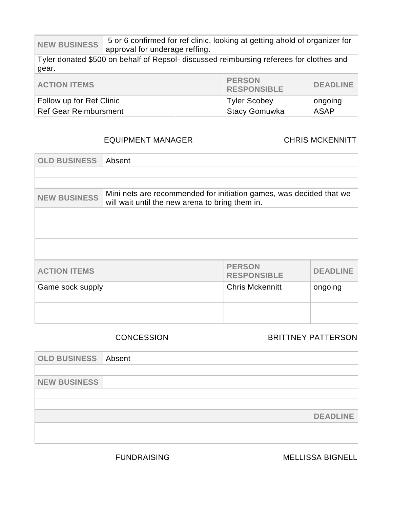NEW BUSINESS 5 or 6 confirmed for ref clinic, looking at getting ahold of organizer for approval for underage reffing.

Tyler donated \$500 on behalf of Repsol- discussed reimbursing referees for clothes and gear.

| <b>ACTION ITEMS</b>          | <b>PERSON</b><br><b>RESPONSIBLE</b> | <b>DEADLINE</b> |
|------------------------------|-------------------------------------|-----------------|
| Follow up for Ref Clinic     | Tyler Scobey                        | ongoing         |
| <b>Ref Gear Reimbursment</b> | <b>Stacy Gomuwka</b>                | ASAP            |

### EQUIPMENT MANAGER CHRIS MCKENNITT

| <b>OLD BUSINESS</b> | Absent                                                                                                                 |                                     |                 |
|---------------------|------------------------------------------------------------------------------------------------------------------------|-------------------------------------|-----------------|
|                     |                                                                                                                        |                                     |                 |
|                     |                                                                                                                        |                                     |                 |
| <b>NEW BUSINESS</b> | Mini nets are recommended for initiation games, was decided that we<br>will wait until the new arena to bring them in. |                                     |                 |
|                     |                                                                                                                        |                                     |                 |
|                     |                                                                                                                        |                                     |                 |
|                     |                                                                                                                        |                                     |                 |
|                     |                                                                                                                        |                                     |                 |
|                     |                                                                                                                        |                                     |                 |
| <b>ACTION ITEMS</b> |                                                                                                                        | <b>PERSON</b><br><b>RESPONSIBLE</b> | <b>DEADLINE</b> |
| Game sock supply    |                                                                                                                        | <b>Chris Mckennitt</b>              | ongoing         |
|                     |                                                                                                                        |                                     |                 |
|                     |                                                                                                                        |                                     |                 |
|                     |                                                                                                                        |                                     |                 |

### CONCESSION BRITTNEY PATTERSON

| <b>OLD BUSINESS Absent</b> |  |                 |
|----------------------------|--|-----------------|
|                            |  |                 |
| <b>NEW BUSINESS</b>        |  |                 |
|                            |  |                 |
|                            |  |                 |
|                            |  | <b>DEADLINE</b> |
|                            |  |                 |
|                            |  |                 |

FUNDRAISING MELLISSA BIGNELL